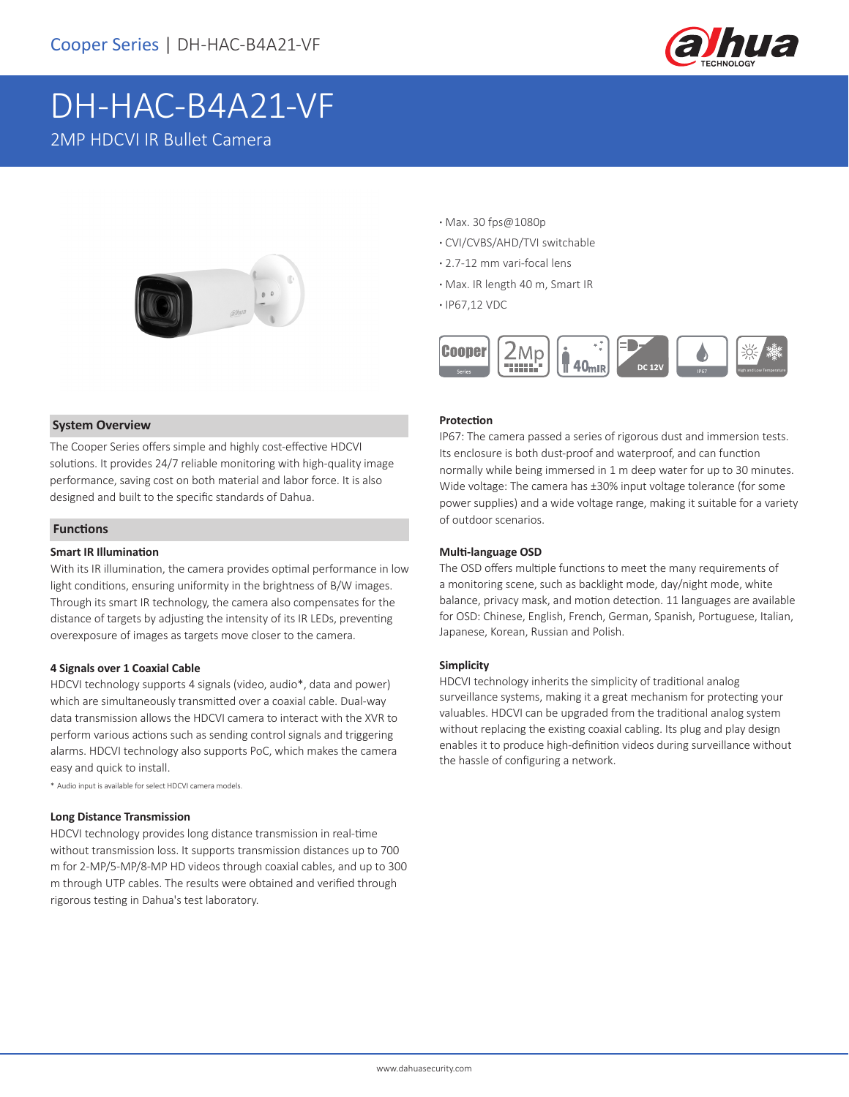

# DH-HAC-B4A21-VF 2MP HDCVI IR Bullet Camera



#### **System Overview**

The Cooper Series offers simple and highly cost-effective HDCVI solutions. It provides 24/7 reliable monitoring with high-quality image performance, saving cost on both material and labor force. It is also designed and built to the specific standards of Dahua.

#### **Functions**

#### **Smart IR Illumination**

With its IR illumination, the camera provides optimal performance in low light conditions, ensuring uniformity in the brightness of B/W images. Through its smart IR technology, the camera also compensates for the distance of targets by adjusting the intensity of its IR LEDs, preventing overexposure of images as targets move closer to the camera.

#### **4 Signals over 1 Coaxial Cable**

HDCVI technology supports 4 signals (video, audio\*, data and power) which are simultaneously transmitted over a coaxial cable. Dual-way data transmission allows the HDCVI camera to interact with the XVR to perform various actions such as sending control signals and triggering alarms. HDCVI technology also supports PoC, which makes the camera easy and quick to install.

\* Audio input is available for select HDCVI camera models.

#### **Long Distance Transmission**

HDCVI technology provides long distance transmission in real-time without transmission loss. It supports transmission distances up to 700 m for 2-MP/5-MP/8-MP HD videos through coaxial cables, and up to 300 m through UTP cables. The results were obtained and verified through rigorous testing in Dahua's test laboratory.

- **·** Max. 30 fps@1080p
- **·** CVI/CVBS/AHD/TVI switchable
- **·** 2.7-12 mm vari-focal lens
- **·** Max. IR length 40 m, Smart IR
- **·** IP67,12 VDC



#### **Protection**

IP67: The camera passed a series of rigorous dust and immersion tests. Its enclosure is both dust-proof and waterproof, and can function normally while being immersed in 1 m deep water for up to 30 minutes. Wide voltage: The camera has ±30% input voltage tolerance (for some power supplies) and a wide voltage range, making it suitable for a variety of outdoor scenarios.

#### **Multi-language OSD**

The OSD offers multiple functions to meet the many requirements of a monitoring scene, such as backlight mode, day/night mode, white balance, privacy mask, and motion detection. 11 languages are available for OSD: Chinese, English, French, German, Spanish, Portuguese, Italian, Japanese, Korean, Russian and Polish.

#### **Simplicity**

HDCVI technology inherits the simplicity of traditional analog surveillance systems, making it a great mechanism for protecting your valuables. HDCVI can be upgraded from the traditional analog system without replacing the existing coaxial cabling. Its plug and play design enables it to produce high-definition videos during surveillance without the hassle of configuring a network.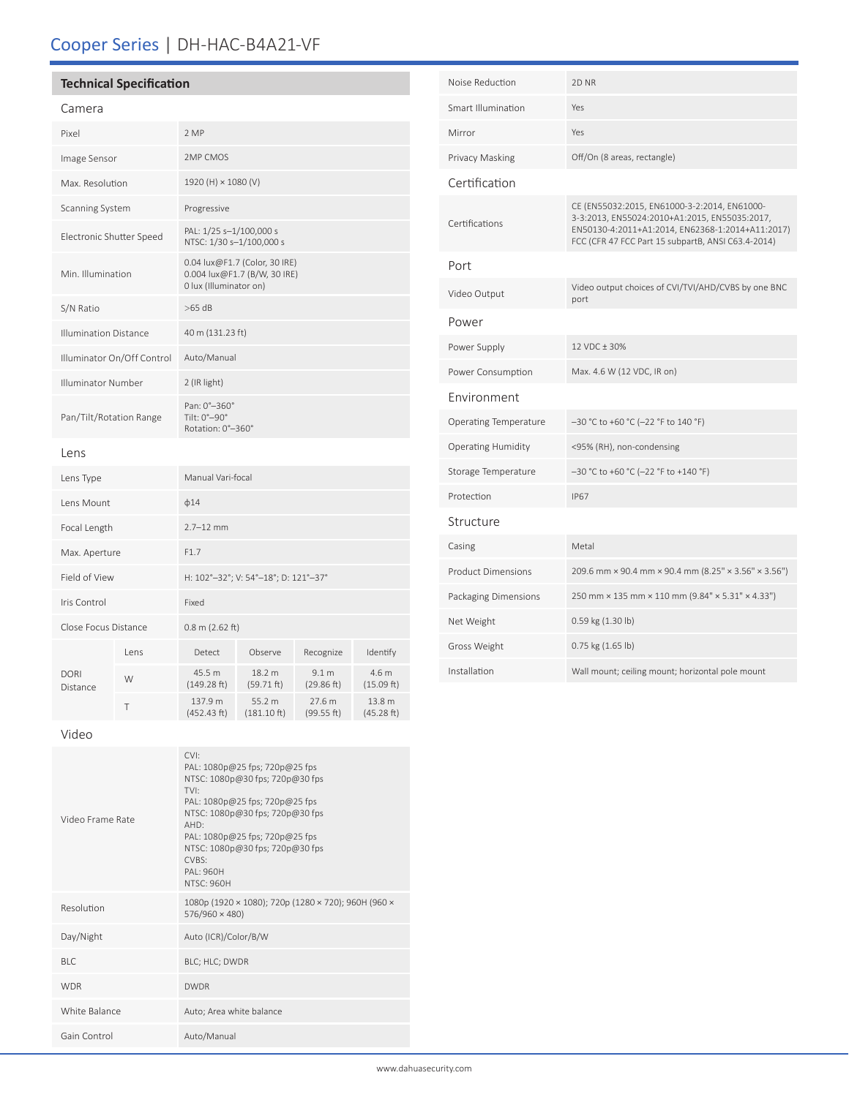## Cooper Series | DH-HAC-B4A21-VF

## **Technical Specification**

## Camera

| Pixel                        |      | 2 MP                                                                                    |                                 |                                |                      |  |
|------------------------------|------|-----------------------------------------------------------------------------------------|---------------------------------|--------------------------------|----------------------|--|
| Image Sensor                 |      | 2MP CMOS                                                                                |                                 |                                |                      |  |
| Max. Resolution              |      | 1920 (H) × 1080 (V)                                                                     |                                 |                                |                      |  |
| Scanning System              |      | Progressive                                                                             |                                 |                                |                      |  |
| Electronic Shutter Speed     |      | PAL: 1/25 s-1/100,000 s<br>NTSC: 1/30 s-1/100,000 s                                     |                                 |                                |                      |  |
| Min. Illumination            |      | 0.04 lux@F1.7 (Color, 30 IRE)<br>0.004 lux@F1.7 (B/W, 30 IRE)<br>0 lux (Illuminator on) |                                 |                                |                      |  |
| S/N Ratio                    |      | $>65$ dB                                                                                |                                 |                                |                      |  |
| <b>Illumination Distance</b> |      | 40 m (131.23 ft)                                                                        |                                 |                                |                      |  |
| Illuminator On/Off Control   |      | Auto/Manual                                                                             |                                 |                                |                      |  |
| Illuminator Number           |      | 2 (IR light)                                                                            |                                 |                                |                      |  |
| Pan/Tilt/Rotation Range      |      | Pan: 0°-360°<br>Tilt: 0°-90°<br>Rotation: 0°-360°                                       |                                 |                                |                      |  |
| Lens                         |      |                                                                                         |                                 |                                |                      |  |
| Lens Type                    |      | Manual Vari-focal                                                                       |                                 |                                |                      |  |
| Lens Mount                   |      | $\phi$ 14                                                                               |                                 |                                |                      |  |
| Focal Length                 |      | $2.7 - 12$ mm                                                                           |                                 |                                |                      |  |
| Max. Aperture                |      | F1.7                                                                                    |                                 |                                |                      |  |
| Field of View                |      | H: 102°-32°; V: 54°-18°; D: 121°-37°                                                    |                                 |                                |                      |  |
| Iris Control                 |      | Fixed                                                                                   |                                 |                                |                      |  |
| Close Focus Distance         |      | $0.8$ m (2.62 ft)                                                                       |                                 |                                |                      |  |
| DORI<br>Distance             | Lens | Detect                                                                                  | Observe                         | Recognize                      | Identify             |  |
|                              | W    | 45.5 m<br>(149.28 ft)                                                                   | 18.2 m<br>(59.71 ft)            | 9.1 <sub>m</sub><br>(29.86 ft) | 4.6 m<br>(15.09 ft)  |  |
|                              | T    | 137.9 m<br>(452.43 ft)                                                                  | 55.2 m<br>$(181.10 \text{ ft})$ | 27.6 m<br>(99.55 ft)           | 13.8 m<br>(45.28 ft) |  |

| Noise Reduction           | 2D <sub>NR</sub>                                                                                                                                                                                        |  |  |  |  |
|---------------------------|---------------------------------------------------------------------------------------------------------------------------------------------------------------------------------------------------------|--|--|--|--|
| Smart Illumination        | Yes                                                                                                                                                                                                     |  |  |  |  |
| Mirror                    | Yes                                                                                                                                                                                                     |  |  |  |  |
| Privacy Masking           | Off/On (8 areas, rectangle)                                                                                                                                                                             |  |  |  |  |
| Certification             |                                                                                                                                                                                                         |  |  |  |  |
| Certifications            | CE (EN55032:2015, EN61000-3-2:2014, EN61000-<br>3-3:2013, EN55024:2010+A1:2015, EN55035:2017,<br>EN50130-4:2011+A1:2014, EN62368-1:2014+A11:2017)<br>FCC (CFR 47 FCC Part 15 subpartB, ANSI C63.4-2014) |  |  |  |  |
| Port                      |                                                                                                                                                                                                         |  |  |  |  |
| Video Output              | Video output choices of CVI/TVI/AHD/CVBS by one BNC<br>port                                                                                                                                             |  |  |  |  |
| Power                     |                                                                                                                                                                                                         |  |  |  |  |
| Power Supply              | 12 VDC + 30%                                                                                                                                                                                            |  |  |  |  |
| Power Consumption         | Max. 4.6 W (12 VDC, IR on)                                                                                                                                                                              |  |  |  |  |
| Environment               |                                                                                                                                                                                                         |  |  |  |  |
| Operating Temperature     | -30 °C to +60 °C (-22 °F to 140 °F)                                                                                                                                                                     |  |  |  |  |
| <b>Operating Humidity</b> | <95% (RH), non-condensing                                                                                                                                                                               |  |  |  |  |
| Storage Temperature       | -30 °C to +60 °C (-22 °F to +140 °F)                                                                                                                                                                    |  |  |  |  |
| Protection                | <b>IP67</b>                                                                                                                                                                                             |  |  |  |  |
| Structure                 |                                                                                                                                                                                                         |  |  |  |  |
| Casing                    | Metal                                                                                                                                                                                                   |  |  |  |  |
| <b>Product Dimensions</b> | 209.6 mm × 90.4 mm × 90.4 mm (8.25" × 3.56" × 3.56")                                                                                                                                                    |  |  |  |  |
| Packaging Dimensions      | 250 mm × 135 mm × 110 mm (9.84" × 5.31" × 4.33")                                                                                                                                                        |  |  |  |  |
| Net Weight                | 0.59 kg (1.30 lb)                                                                                                                                                                                       |  |  |  |  |
| Gross Weight              | 0.75 kg (1.65 lb)                                                                                                                                                                                       |  |  |  |  |
| Installation              | Wall mount; ceiling mount; horizontal pole mount                                                                                                                                                        |  |  |  |  |

Video

| Video Frame Rate | $\cap$<br>PAL: 1080p@25 fps; 720p@25 fps<br>NTSC: 1080p@30 fps; 720p@30 fps<br>TVI:<br>PAL: 1080p@25 fps; 720p@25 fps<br>NTSC: 1080p@30 fps; 720p@30 fps<br>AHD:<br>PAL: 1080p@25 fps; 720p@25 fps<br>NTSC: 1080p@30 fps; 720p@30 fps<br>CVBS:<br>$PAI \cdot 960H$<br><b>NTSC: 960H</b> |
|------------------|-----------------------------------------------------------------------------------------------------------------------------------------------------------------------------------------------------------------------------------------------------------------------------------------|
| Resolution       | 1080p (1920 × 1080); 720p (1280 × 720); 960H (960 ×<br>576/960 × 480)                                                                                                                                                                                                                   |
| Day/Night        | Auto (ICR)/Color/B/W                                                                                                                                                                                                                                                                    |
| <b>BLC</b>       | BLC; HLC; DWDR                                                                                                                                                                                                                                                                          |
| <b>WDR</b>       | <b>DWDR</b>                                                                                                                                                                                                                                                                             |
| White Balance    | Auto; Area white balance                                                                                                                                                                                                                                                                |
| Gain Control     | Auto/Manual                                                                                                                                                                                                                                                                             |